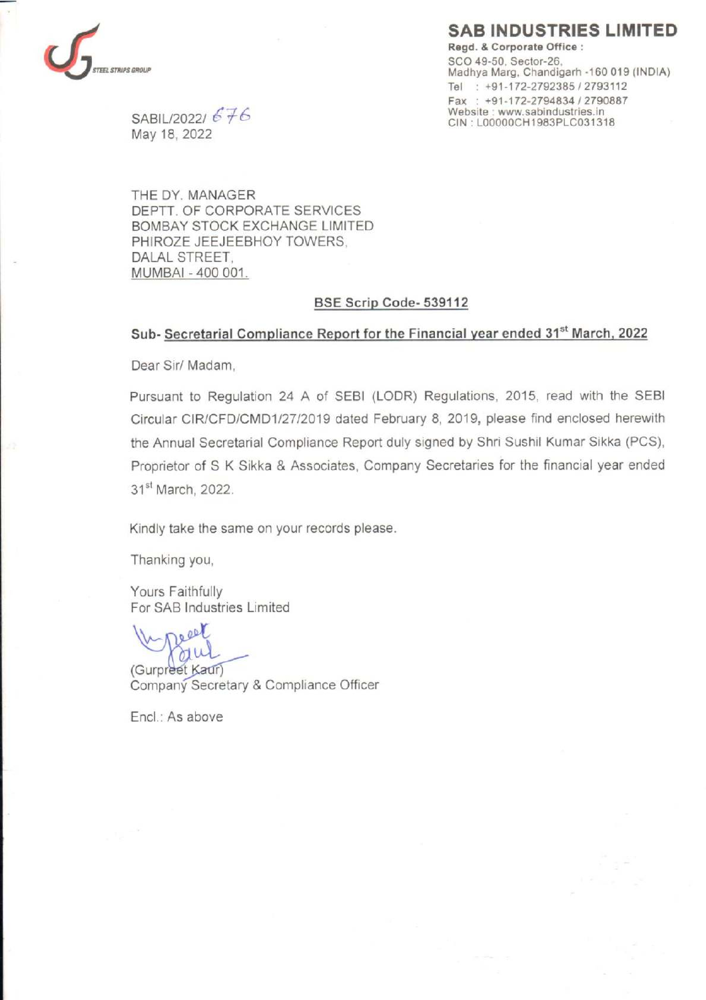# SAB INDUSTRIES LIMITED



Regd. & Corporate Office : SCO 49-50, Sector-26,<br>Madhya Marg, Chandigarh -160 019 (INDIA) Tel : +91-172-2792385 / 2793112 Fax : +91-172-2794834 / 2790887  $SABILITY 20221$   $E \neq E$ <br>  $C \cup E$ <br>  $C \cup E$ <br>  $C \cup E$ <br>  $C \cup E$ <br>  $C \cup E$ <br>  $C \cup E$ <br>  $C \cup E$ <br>  $C \cup E$ <br>  $C \cup E$ <br>  $C \cup E$ <br>  $C \cup E$ <br>  $C \cup E$ <br>  $C \cup E$ 

May 18, 2022

THE DY. MANAGER DEPTT. OF CORPORATE SERVICES BOMBAY STOCK EXCHANGE LIMITED PHIROZE JEEJEEBHOY TOWERS, DALAL STREET, MUMBAI - 400 001.

#### BSE Scrip Code- 539112

### Sub- Secretarial Compliance Report for the Financial year ended 31<sup>st</sup> March, 2022

Dear Sir/ Madam,

Pursuant to Regulation 24 A of SEB! (LODR) Regulations, 2015, read with the SEBI Circular CIR/CFD/CMD1/27/2019 dated February 8, 2019, please find enclosed herewith the Annual Secretarial Compliance Report duly signed by Shri Sushil Kumar Sikka (PCS), Proprietor of S K Sikka & Associates, Company Secretaries for the financial year ended 31<sup>st</sup> March, 2022.

Kindly take the same on your records please.

Thanking you,

Yours Faithfully For SAB Industries Limited

ee ae au

(Gurpreet Kaur) Company Secretary & Compliance Officer

Encl.: As above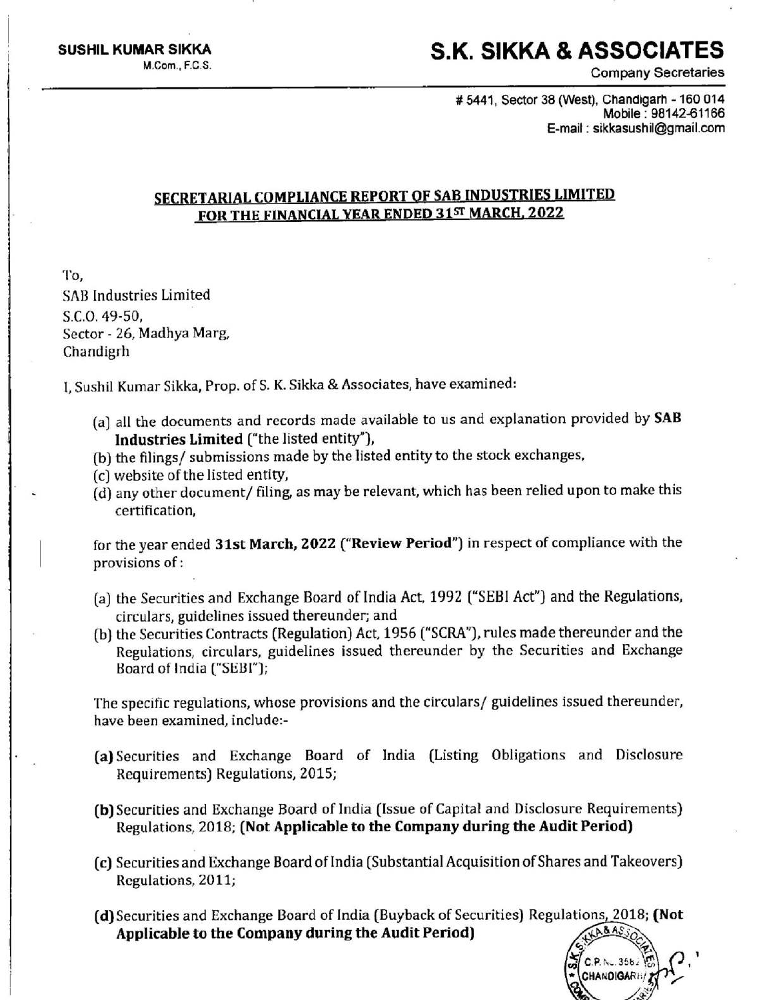#### SUSHIL KUMAR SIKKA S.K. SIKKA & ASSOCIATES  $M_{\rm Com.}$  F.C.S.  $\blacksquare$

Company Secretaries

# 5444, Sector 38 (West), Chandigarh - 160 014 Mobile : 98142-61166 E-mail : sikkasushil@gmail.com

> $CP$  N: 35b) **CHANDIGARE**

## SECRETARIAL COMPLIANCE REPORT OF SAB INDUSTRIES LIMITED FOR THE FINANCIAL YEAR ENDED 31ST MARCH, 2022

To, SAB Industries Limited §.C.0. 49-50, . Sector - 26, Madhya Marg, Chandigrh

[발음] [ 발음] [ 발음] [ 발음] [ 발음] [ 발음] [ 발음] [ 발음] [ 발음] [ 발음] [ 발음] [ 발음] [ 발음] [ 발음] [ 발음] [ 발음] [ 발음] [ 발음] [ 발

|, Sushil Kumar Sikka, Prop. of S. K. Sikka & Associates, have examined:

- the contract of the contract of the contract of the contract of the contract of the contract of the contract of (a) all the documents and records made available to us and explanation provided by SAB Industries Limited ("the listed entity"),
	- (b) the filings/ submissions made by the listed entity to the stock exchanges,
	- (c) website of the listed entity,
	- (d) any other document/ filing, as may be relevant, which has been relied upon to make this certification,

for the year ended 31st March, 2022 ("Review Period") in respect of compliance with the provisions of :

- (a) the Securities and Exchange Board of India Act, 1992 ("SEBI Act") and the Regulations, circulars, guidelines issued thereunder; and
- (b) the Securities Contracts (Regulation) Act, 1956 ("SCRA"), rules made thereunder and the Regulations, circulars, guidelines issued thereunder by the Securities and Exchange Board of India ("SEBI");

The specific regulations, whose provisions and the circulars/ guidelines issued thereunder, have been examined, include:-

- (a)Securities and Exchange Board of India (Listing Obligations and Disclosure Requirements) Regulations, 2015;
- (b) Securities and Exchange Board of India (Issue of Capita! and Disclosure Requirements) Regulations, 2018; (Not Applicable to the Company during the Audit Period)
- (c) Securities and Exchange Board of India (Substantial Acquisition of Shares and Takeovers) Regulations, 2011;
- (d) Securities and Exchange Board of India (Buyback of Securities) Regulations, 2018; (Not Applicable to the Company during the Audit Period)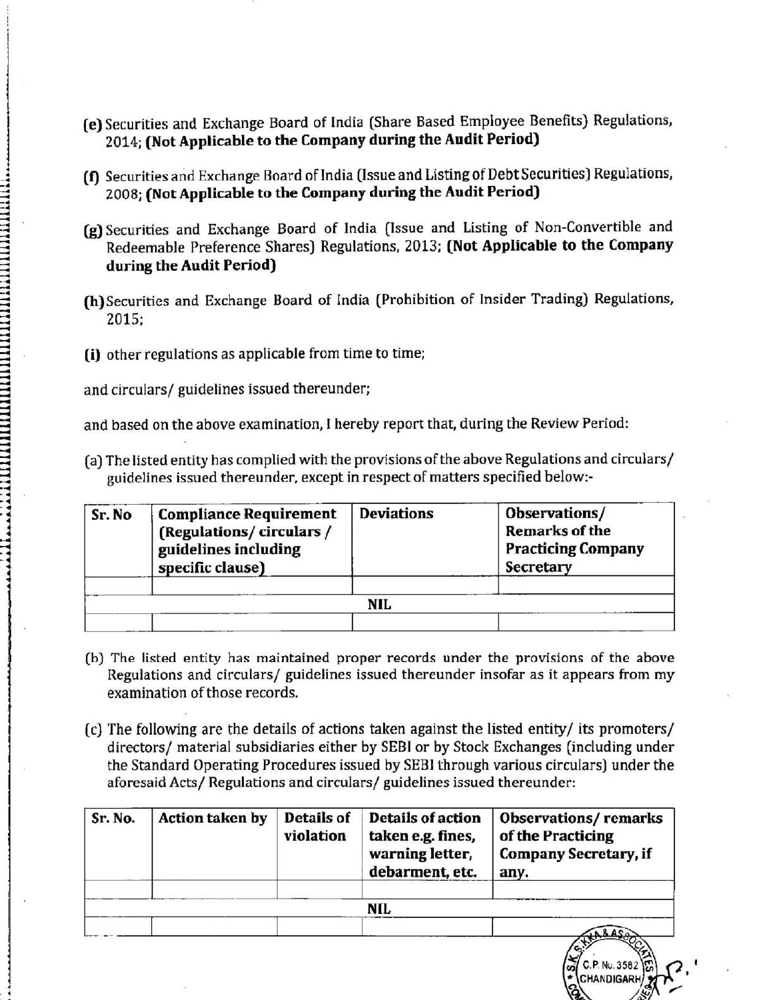- (e) Securities and Exchange Board of India (Share Based Employee Benefits} Regulations, 2014; (Not Applicable to the Company during the Audit Period)
- (f) Securities and Exchange Board of India (Issue and Listing of Debt Securities) Regulations, 2008; (Not Applicable to the Company during the Audit Period)
- (g) Securities and Exchange Board of India (Issue and Listing of Non-Convertible and Redeemable Preference Shares) Regulations, 2013; (Not Applicable to the Company during the Audit Period) (e) Securities and Exchange Board of India (S.<br>
2014; (Not Applicable to the Company d<br>
(f) Securities and Exchange Board of India (Iss<br>
2008; (Not Applicable to the Company d<br>
(g) Securities and Exchange Board of India<br>
R
- (h)}Securities and Exchange Board of India (Prohibition of Insider Trading) Regulations, 2015;
- (i) other regulations as applicable from time to time;

z i: akkaita i: akkaita i: akkaita i: akkaita i: akkaita i: akkaita i: akkaita i: akkaita i: akkaita i: akkait

dada scab d dad ddd ddeadindes

me Rdardd eddig bedruit en bedruit datum da barn da barn da barn da barn da barn da barn da barn da barn da ba

depo e eee eh

| (e) Securities and Exchange Board of India (Share Based Employee Benefits) Regulations,<br>2014; (Not Applicable to the Company during the Audit Period)                                                        |                                                                                                      |                         |                                                                                     |                                                                                                                                                                                                                                                                                 |  |  |  |  |
|-----------------------------------------------------------------------------------------------------------------------------------------------------------------------------------------------------------------|------------------------------------------------------------------------------------------------------|-------------------------|-------------------------------------------------------------------------------------|---------------------------------------------------------------------------------------------------------------------------------------------------------------------------------------------------------------------------------------------------------------------------------|--|--|--|--|
| (f) Securities and Exchange Board of India (Issue and Listing of Debt Securities) Regulations,<br>2008; (Not Applicable to the Company during the Audit Period)                                                 |                                                                                                      |                         |                                                                                     |                                                                                                                                                                                                                                                                                 |  |  |  |  |
| (g) Securities and Exchange Board of India (Issue and Listing of Non-Convertible and<br>Redeemable Preference Shares) Regulations, 2013; (Not Applicable to the Company<br>during the Audit Period)             |                                                                                                      |                         |                                                                                     |                                                                                                                                                                                                                                                                                 |  |  |  |  |
| (h) Securities and Exchange Board of India (Prohibition of Insider Trading) Regulations,<br>2015;                                                                                                               |                                                                                                      |                         |                                                                                     |                                                                                                                                                                                                                                                                                 |  |  |  |  |
| (i) other regulations as applicable from time to time;                                                                                                                                                          |                                                                                                      |                         |                                                                                     |                                                                                                                                                                                                                                                                                 |  |  |  |  |
|                                                                                                                                                                                                                 | and circulars/ guidelines issued thereunder;                                                         |                         |                                                                                     |                                                                                                                                                                                                                                                                                 |  |  |  |  |
|                                                                                                                                                                                                                 |                                                                                                      |                         |                                                                                     | and based on the above examination, I hereby report that, during the Review Period:                                                                                                                                                                                             |  |  |  |  |
| (a) The listed entity has complied with the provisions of the above Regulations and circulars/<br>guidelines issued thereunder, except in respect of matters specified below:-                                  |                                                                                                      |                         |                                                                                     |                                                                                                                                                                                                                                                                                 |  |  |  |  |
| Sr. No                                                                                                                                                                                                          | <b>Compliance Requirement</b><br>(Regulations/circulars/<br>guidelines including<br>specific clause) |                         | <b>Deviations</b>                                                                   | Observations/<br><b>Remarks of the</b><br><b>Practicing Company</b><br>Secretary                                                                                                                                                                                                |  |  |  |  |
|                                                                                                                                                                                                                 |                                                                                                      |                         | <b>NIL</b>                                                                          |                                                                                                                                                                                                                                                                                 |  |  |  |  |
|                                                                                                                                                                                                                 |                                                                                                      |                         |                                                                                     |                                                                                                                                                                                                                                                                                 |  |  |  |  |
| (b) The listed entity has maintained proper records under the provisions of the above<br>Regulations and circulars/ guidelines issued thereunder insofar as it appears from my<br>examination of those records. |                                                                                                      |                         |                                                                                     |                                                                                                                                                                                                                                                                                 |  |  |  |  |
|                                                                                                                                                                                                                 |                                                                                                      |                         | aforesaid Acts/ Regulations and circulars/ guidelines issued thereunder:            | (c) The following are the details of actions taken against the listed entity/ its promoters/<br>directors/ material subsidiaries either by SEBI or by Stock Exchanges (including under<br>the Standard Operating Procedures issued by SEBI through various circulars) under the |  |  |  |  |
| Sr. No.                                                                                                                                                                                                         | <b>Action taken by</b>                                                                               | Details of<br>violation | <b>Details of action</b><br>taken e.g. fines,<br>warning letter,<br>debarment, etc. | <b>Observations/remarks</b><br>of the Practicing<br><b>Company Secretary, if</b><br>any.                                                                                                                                                                                        |  |  |  |  |
|                                                                                                                                                                                                                 | NIL                                                                                                  |                         |                                                                                     |                                                                                                                                                                                                                                                                                 |  |  |  |  |

- (b) The listed entity has maintained proper records under the provisions of the above Regulations and circulars/ guidelines issued thereunder insofar as it appears from my examination of those records.
- (c} The following are the details of actions taken against the listed entity/ its promoters/ directors/ material subsidiaries either by SEBI or by Stock Exchanges (including under the Standard Operating Procedures issued by SEBI through various circulars) under the aforesaid Acts/ Regulations and circulars/ guidelines issued thereunder:

| Sr. No. | <b>Action taken by</b> | Details of<br>violation | <b>Details of action</b><br>taken e.g. fines,<br>warning letter,<br>debarment, etc. | <b>Observations/remarks</b><br>of the Practicing<br><b>Company Secretary, if</b><br>any. |
|---------|------------------------|-------------------------|-------------------------------------------------------------------------------------|------------------------------------------------------------------------------------------|
|         |                        |                         | NIL                                                                                 |                                                                                          |
|         |                        |                         |                                                                                     | <b>DAL. 2501</b>                                                                         |

CHANDIGARH